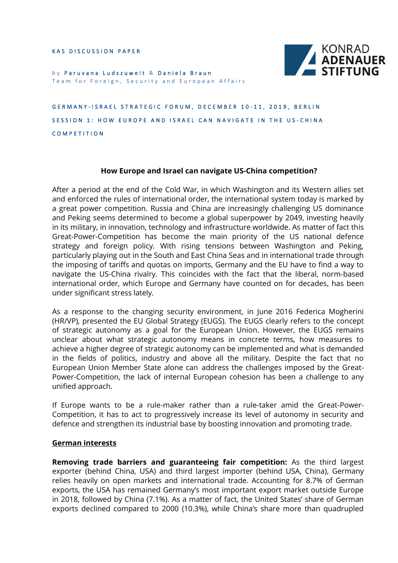KAS DISCUSSION PAPER



by Paruvana Ludszuweit & Daniela Braun Team for Foreign, Security and European Affairs

GERMANY-ISRAEL STRATEGIC FORUM, DECEMBER 10-11, 2019, BERLIN SESSION 1: HOW EUROPE AND ISRAEL CAN NAVIGATE IN THE US-CHINA COMPETITION

## **How Europe and Israel can navigate US-China competition?**

After a period at the end of the Cold War, in which Washington and its Western allies set and enforced the rules of international order, the international system today is marked by a great power competition. Russia and China are increasingly challenging US dominance and Peking seems determined to become a global superpower by 2049, investing heavily in its military, in innovation, technology and infrastructure worldwide. As matter of fact this Great-Power-Competition has become the main priority of the US national defence strategy and foreign policy. With rising tensions between Washington and Peking, particularly playing out in the South and East China Seas and in international trade through the imposing of tariffs and quotas on imports, Germany and the EU have to find a way to navigate the US-China rivalry. This coincides with the fact that the liberal, norm-based international order, which Europe and Germany have counted on for decades, has been under significant stress lately.

As a response to the changing security environment, in June 2016 Federica Mogherini (HR/VP), presented the EU Global Strategy (EUGS). The EUGS clearly refers to the concept of strategic autonomy as a goal for the European Union. However, the EUGS remains unclear about what strategic autonomy means in concrete terms, how measures to achieve a higher degree of strategic autonomy can be implemented and what is demanded in the fields of politics, industry and above all the military. Despite the fact that no European Union Member State alone can address the challenges imposed by the Great-Power-Competition, the lack of internal European cohesion has been a challenge to any unified approach.

If Europe wants to be a rule-maker rather than a rule-taker amid the Great-Power-Competition, it has to act to progressively increase its level of autonomy in security and defence and strengthen its industrial base by boosting innovation and promoting trade.

## **German interests**

**Removing trade barriers and guaranteeing fair competition:** As the third largest exporter (behind China, USA) and third largest importer (behind USA, China), Germany relies heavily on open markets and international trade. Accounting for 8.7% of German exports, the USA has remained Germany's most important export market outside Europe in 2018, followed by China (7.1%). As a matter of fact, the United States' share of German exports declined compared to 2000 (10.3%), while China's share more than quadrupled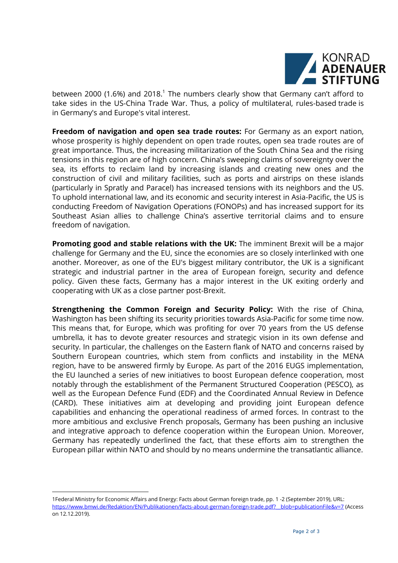

between 2000 (1.6%) and 2018.<sup>1</sup> The numbers clearly show that Germany can't afford to take sides in the US-China Trade War. Thus, a policy of multilateral, rules-based trade is in Germany's and Europe's vital interest.

**Freedom of navigation and open sea trade routes:** For Germany as an export nation, whose prosperity is highly dependent on open trade routes, open sea trade routes are of great importance. Thus, the increasing militarization of the South China Sea and the rising tensions in this region are of high concern. China's sweeping claims of sovereignty over the sea, its efforts to reclaim land by increasing islands and creating new ones and the construction of civil and military facilities, such as ports and airstrips on these islands (particularly in Spratly and Paracel) has increased tensions with its neighbors and the US. To uphold international law, and its economic and security interest in Asia-Pacific, the US is conducting Freedom of Navigation Operations (FONOPs) and has increased support for its Southeast Asian allies to challenge China's assertive territorial claims and to ensure freedom of navigation.

**Promoting good and stable relations with the UK:** The imminent Brexit will be a major challenge for Germany and the EU, since the economies are so closely interlinked with one another. Moreover, as one of the EU's biggest military contributor, the UK is a significant strategic and industrial partner in the area of European foreign, security and defence policy. Given these facts, Germany has a major interest in the UK exiting orderly and cooperating with UK as a close partner post-Brexit.

**Strengthening the Common Foreign and Security Policy:** With the rise of China, Washington has been shifting its security priorities towards Asia-Pacific for some time now. This means that, for Europe, which was profiting for over 70 years from the US defense umbrella, it has to devote greater resources and strategic vision in its own defense and security. In particular, the challenges on the Eastern flank of NATO and concerns raised by Southern European countries, which stem from conflicts and instability in the MENA region, have to be answered firmly by Europe. As part of the 2016 EUGS implementation, the EU launched a series of new initiatives to boost European defence cooperation, most notably through the establishment of the Permanent Structured Cooperation (PESCO), as well as the European Defence Fund (EDF) and the Coordinated Annual Review in Defence (CARD). These initiatives aim at developing and providing joint European defence capabilities and enhancing the operational readiness of armed forces. In contrast to the more ambitious and exclusive French proposals, Germany has been pushing an inclusive and integrative approach to defence cooperation within the European Union. Moreover, Germany has repeatedly underlined the fact, that these efforts aim to strengthen the European pillar within NATO and should by no means undermine the transatlantic alliance.

-

<sup>1</sup>Federal Ministry for Economic Affairs and Energy: Facts about German foreign trade, pp. 1 -2 (September 2019), URL: [https://www.bmwi.de/Redaktion/EN/Publikationen/facts-about-german-foreign-trade.pdf?\\_\\_blob=publicationFile&v=7](https://www.bmwi.de/Redaktion/EN/Publikationen/facts-about-german-foreign-trade.pdf?__blob=publicationFile&v=7) (Access on 12.12.2019).